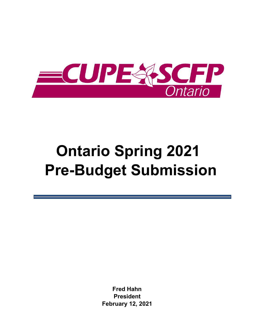

# **Ontario Spring 2021 Pre-Budget Submission**

**Fred Hahn President February 12, 2021**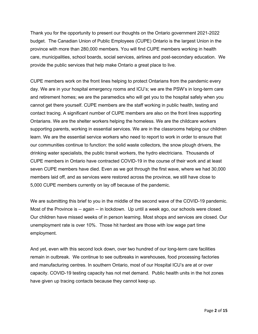Thank you for the opportunity to present our thoughts on the Ontario government 2021-2022 budget. The Canadian Union of Public Employees (CUPE) Ontario is the largest Union in the province with more than 280,000 members. You will find CUPE members working in health care, municipalities, school boards, social services, airlines and post-secondary education. We provide the public services that help make Ontario a great place to live.

CUPE members work on the front lines helping to protect Ontarians from the pandemic every day. We are in your hospital emergency rooms and ICU's; we are the PSW's in long-term care and retirement homes; we are the paramedics who will get you to the hospital safely when you cannot get there yourself. CUPE members are the staff working in public health, testing and contact tracing. A significant number of CUPE members are also on the front lines supporting Ontarians. We are the shelter workers helping the homeless. We are the childcare workers supporting parents, working in essential services. We are in the classrooms helping our children learn. We are the essential service workers who need to report to work in order to ensure that our communities continue to function: the solid waste collectors, the snow plough drivers, the drinking water specialists, the public transit workers, the hydro electricians. Thousands of CUPE members in Ontario have contracted COVID-19 in the course of their work and at least seven CUPE members have died. Even as we got through the first wave, where we had 30,000 members laid off, and as services were restored across the province, we still have close to 5,000 CUPE members currently on lay off because of the pandemic.

We are submitting this brief to you in the middle of the second wave of the COVID-19 pandemic. Most of the Province is -- again -- in lockdown. Up until a week ago, our schools were closed. Our children have missed weeks of in person learning. Most shops and services are closed. Our unemployment rate is over 10%. Those hit hardest are those with low wage part time employment.

And yet, even with this second lock down, over two hundred of our long-term care facilities remain in outbreak. We continue to see outbreaks in warehouses, food processing factories and manufacturing centres. In southern Ontario, most of our Hospital ICU's are at or over capacity. COVID-19 testing capacity has not met demand. Public health units in the hot zones have given up tracing contacts because they cannot keep up.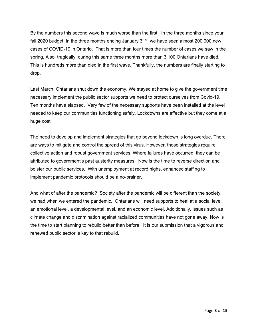By the numbers this second wave is much worse than the first. In the three months since your fall 2020 budget, in the three months ending January  $31<sup>st</sup>$ , we have seen almost 200,000 new cases of COVID-19 in Ontario. That is more than four times the number of cases we saw in the spring. Also, tragically, during this same three months more than 3,100 Ontarians have died. This is hundreds more than died in the first wave. Thankfully, the numbers are finally starting to drop.

Last March, Ontarians shut down the economy. We stayed at home to give the government time necessary implement the public sector supports we need to protect ourselves from Covid-19. Ten months have elapsed. Very few of the necessary supports have been installed at the level needed to keep our communities functioning safely. Lockdowns are effective but they come at a huge cost.

The need to develop and implement strategies that go beyond lockdown is long overdue. There are ways to mitigate and control the spread of this virus. However, those strategies require collective action and robust government services. Where failures have occurred, they can be attributed to government's past austerity measures. Now is the time to reverse direction and bolster our public services. With unemployment at record highs, enhanced staffing to implement pandemic protocols should be a no-brainer.

And what of after the pandemic? Society after the pandemic will be different than the society we had when we entered the pandemic. Ontarians will need supports to heal at a social level, an emotional level, a developmental level, and an economic level. Additionally, issues such as climate change and discrimination against racialized communities have not gone away. Now is the time to start planning to rebuild better than before. It is our submission that a vigorous and renewed public sector is key to that rebuild.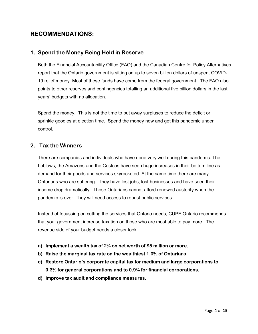# **RECOMMENDATIONS:**

## **1. Spend the Money Being Held in Reserve**

Both the Financial Accountability Office (FAO) and the Canadian Centre for Policy Alternatives report that the Ontario government is sitting on up to seven billion dollars of unspent COVID-19 relief money. Most of these funds have come from the federal government. The FAO also points to other reserves and contingencies totalling an additional five billion dollars in the last years' budgets with no allocation.

Spend the money. This is not the time to put away surpluses to reduce the deficit or sprinkle goodies at election time. Spend the money now and get this pandemic under control.

## **2. Tax the Winners**

There are companies and individuals who have done very well during this pandemic. The Loblaws, the Amazons and the Costcos have seen huge increases in their bottom line as demand for their goods and services skyrocketed. At the same time there are many Ontarians who are suffering. They have lost jobs, lost businesses and have seen their income drop dramatically. Those Ontarians cannot afford renewed austerity when the pandemic is over. They will need access to robust public services.

Instead of focussing on cutting the services that Ontario needs, CUPE Ontario recommends that your government increase taxation on those who are most able to pay more. The revenue side of your budget needs a closer look.

- **a) Implement a wealth tax of 2% on net worth of \$5 million or more.**
- **b) Raise the marginal tax rate on the wealthiest 1.0% of Ontarians.**
- **c) Restore Ontario's corporate capital tax for medium and large corporations to 0.3% for general corporations and to 0.9% for financial corporations.**
- **d) Improve tax audit and compliance measures.**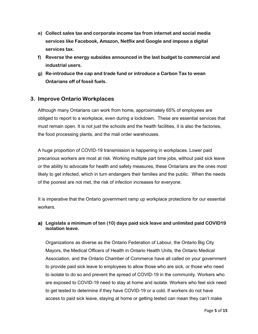- **e) Collect sales tax and corporate income tax from internet and social media services like Facebook, Amazon, Netflix and Google and impose a digital services tax.**
- **f) Reverse the energy subsides announced in the last budget to commercial and industrial users.**
- **g) Re-introduce the cap and trade fund or introduce a Carbon Tax to wean Ontarians off of fossil fuels.**

# **3. Improve Ontario Workplaces**

Although many Ontarians can work from home, approximately 65% of employees are obliged to report to a workplace, even during a lockdown. These are essential services that must remain open. It is not just the schools and the health facilities, it is also the factories, the food processing plants, and the mail order warehouses.

A huge proportion of COVID-19 transmission is happening in workplaces. Lower paid precarious workers are most at risk. Working multiple part time jobs, without paid sick leave or the ability to advocate for health and safety measures, these Ontarians are the ones most likely to get infected, which in turn endangers their families and the public. When the needs of the poorest are not met, the risk of infection increases for everyone.

It is imperative that the Ontario government ramp up workplace protections for our essential workers.

## **a) Legislate a minimum of ten (10) days paid sick leave and unlimited paid COVID19 isolation leave.**

Organizations as diverse as the Ontario Federation of Labour, the Ontario Big City Mayors, the Medical Officers of Health in Ontario Health Units, the Ontario Medical Association, and the Ontario Chamber of Commerce have all called on your government to provide paid sick leave to employees to allow those who are sick, or those who need to isolate to do so and prevent the spread of COVID-19 in the community. Workers who are exposed to COVID-19 need to stay at home and isolate. Workers who feel sick need to get tested to determine if they have COVID-19 or a cold. If workers do not have access to paid sick leave, staying at home or getting tested can mean they can't make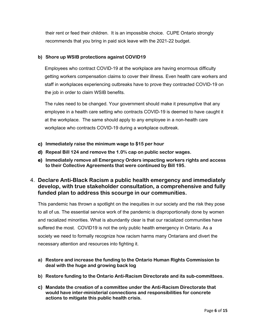their rent or feed their children. It is an impossible choice. CUPE Ontario strongly recommends that you bring in paid sick leave with the 2021-22 budget.

#### **b) Shore up WSIB protections against COVID19**

Employees who contract COVID-19 at the workplace are having enormous difficulty getting workers compensation claims to cover their illness. Even health care workers and staff in workplaces experiencing outbreaks have to prove they contracted COVID-19 on the job in order to claim WSIB benefits.

The rules need to be changed. Your government should make it presumptive that any employee in a health care setting who contracts COVID-19 is deemed to have caught it at the workplace. The same should apply to any employee in a non-health care workplace who contracts COVID-19 during a workplace outbreak.

- **c) Immediately raise the minimum wage to \$15 per hour**
- **d) Repeal Bill 124 and remove the 1.0% cap on public sector wages.**
- **e) Immediately remove all Emergency Orders impacting workers rights and access to their Collective Agreements that were continued by Bill 195.**

# 4. **Declare Anti-Black Racism a public health emergency and immediately develop, with true stakeholder consultation, a comprehensive and fully funded plan to address this scourge in our communities.**

This pandemic has thrown a spotlight on the inequities in our society and the risk they pose to all of us. The essential service work of the pandemic is disproportionally done by women and racialized minorities. What is abundantly clear is that our racialized communities have suffered the most. COVID19 is not the only public health emergency in Ontario. As a society we need to formally recognize how racism harms many Ontarians and divert the necessary attention and resources into fighting it.

- **a) Restore and increase the funding to the Ontario Human Rights Commission to deal with the huge and growing back log**
- **b) Restore funding to the Ontario Anti-Racism Directorate and its sub-committees.**
- **c) Mandate the creation of a committee under the Anti-Racism Directorate that would have inter-ministerial connections and responsibilities for concrete actions to mitigate this public health crisis.**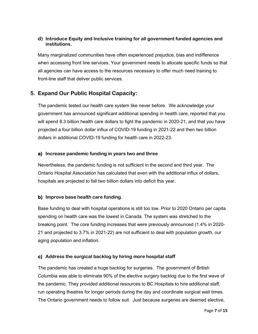#### **d) Introduce Equity and Inclusive training for all government funded agencies and institutions.**

Many marginalized communities have often experienced prejudice, bias and indifference when accessing front line services. Your government needs to allocate specific funds so that all agencies can have access to the resources necessary to offer much need training to front-line staff that deliver public services.

# **5. Expand Our Public Hospital Capacity:**

The pandemic tested our health care system like never before. We acknowledge your government has announced significant additional spending in health care, reported that you will spend 8.3 billion health care dollars to fight the pandemic in 2020-21, and that you have projected a four billion dollar influx of COVID-19 funding in 2021-22 and then two billion dollars in additional COVID-19 funding for health care in 2022-23.

## **a) Increase pandemic funding in years two and three**

Nevertheless, the pandemic funding is not sufficient in the second and third year. The Ontario Hospital Association has calculated that even with the additional influx of dollars, hospitals are projected to fall two billion dollars into deficit this year.

## **b) Improve base health care funding.**

Base funding to deal with hospital operations is still too low. Prior to 2020 Ontario per capita spending on health care was the lowest in Canada. The system was stretched to the breaking point. The core funding increases that were previously announced (1.4% in 2020- 21 and projected to 3.7% in 2021-22) are not sufficient to deal with population growth, our aging population and inflation.

## **c) Address the surgical backlog by hiring more hospital staff**

The pandemic has created a huge backlog for surgeries. The government of British Columbia was able to eliminate 90% of the elective surgery backlog due to the first wave of the pandemic. They provided additional resources to BC Hospitals to hire additional staff, run operating theatres for longer periods during the day and coordinate surgical wait times. The Ontario government needs to follow suit. Just because surgeries are deemed elective,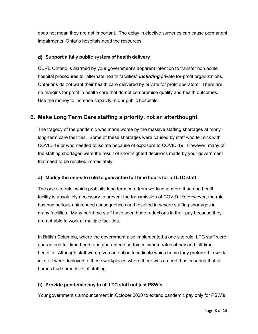does not mean they are not important. The delay in elective surgeries can cause permanent impairments. Ontario hospitals need the resources.

## **d) Support a fully public system of health delivery**

CUPE Ontario is alarmed by your government's apparent intention to transfer non acute hospital procedures to "alternate health facilities" *including* private for-profit organizations. Ontarians do not want their health care delivered by private for profit operators. There are no margins for profit in health care that do not compromise quality and health outcomes. Use the money to increase capacity at our public hospitals.

# **6. Make Long Term Care staffing a priority, not an afterthought**

The tragedy of the pandemic was made worse by the massive staffing shortages at many long-term care facilities. Some of these shortages were caused by staff who fell sick with COVID-19 or who needed to isolate because of exposure to COVID-19. However, many of the staffing shortages were the result of short-sighted decisions made by your government that need to be rectified immediately.

## **a) Modify the one-site rule to guarantee full time hours for all LTC staff**

The one site rule, which prohibits long term care from working at more than one health facility is absolutely necessary to prevent the transmission of COVID-19. However, the rule has had serious unintended consequences and resulted in severe staffing shortages in many facilities. Many part-time staff have seen huge reductions in their pay because they are not able to work at multiple facilities.

In British Columbia, where the government also implemented a one site rule, LTC staff were guaranteed full time hours and guaranteed certain minimum rates of pay and full-time benefits. Although staff were given an option to indicate which home they preferred to work in, staff were deployed to those workplaces where there was a need thus ensuring that all homes had some level of staffing.

## **b) Provide pandemic pay to all LTC staff not just PSW's**

Your government's announcement in October 2020 to extend pandemic pay only for PSW's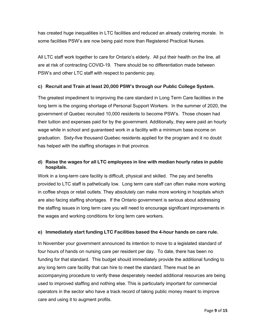has created huge inequalities in LTC facilities and reduced an already cratering morale. In some facilities PSW's are now being paid more than Registered Practical Nurses.

All LTC staff work together to care for Ontario's elderly. All put their health on the line, all are at risk of contracting COVID-19. There should be no differentiation made between PSW's and other LTC staff with respect to pandemic pay.

#### **c) Recruit and Train at least 20,000 PSW's through our Public College System.**

The greatest impediment to improving the care standard in Long Term Care facilities in the long term is the ongoing shortage of Personal Support Workers. In the summer of 2020, the government of Quebec recruited 10,000 residents to become PSW's. Those chosen had their tuition and expenses paid for by the government. Additionally, they were paid an hourly wage while in school and guaranteed work in a facility with a minimum base income on graduation. Sixty-five thousand Quebec residents applied for the program and it no doubt has helped with the staffing shortages in that province.

## **d) Raise the wages for all LTC employees in line with median hourly rates in public hospitals.**

Work in a long-term care facility is difficult, physical and skilled. The pay and benefits provided to LTC staff is pathetically low. Long term care staff can often make more working in coffee shops or retail outlets. They absolutely can make more working in hospitals which are also facing staffing shortages. If the Ontario government is serious about addressing the staffing issues in long term care you will need to encourage significant improvements in the wages and working conditions for long term care workers.

## **e) Immediately start funding LTC Facilities based the 4-hour hands on care rule.**

In November your government announced its intention to move to a legislated standard of four hours of hands on nursing care per resident per day. To date, there has been no funding for that standard. This budget should immediately provide the additional funding to any long term care facility that can hire to meet the standard. There must be an accompanying procedure to verify these desperately needed additional resources are being used to improved staffing and nothing else. This is particularly important for commercial operators in the sector who have a track record of taking public money meant to improve care and using it to augment profits.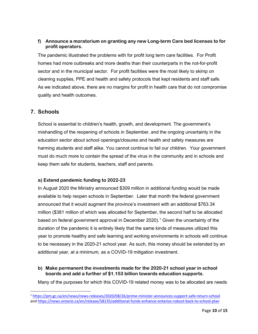#### **f) Announce a moratorium on granting any new Long-term Care bed licenses to for profit operators.**

The pandemic illustrated the problems with for profit long term care facilities. For Profit homes had more outbreaks and more deaths than their counterparts in the not-for-profit sector and in the municipal sector. For profit facilities were the most likely to skimp on cleaning supplies, PPE and health and safety protocols that kept residents and staff safe. As we indicated above, there are no margins for profit in health care that do not compromise quality and health outcomes.

# **7. Schools**

School is essential to children's health, growth, and development. The government's mishandling of the reopening of schools in September, and the ongoing uncertainty in the education sector about school openings/closures and health and safety measures are harming students and staff alike. You cannot continue to fail our children. Your government must do much more to contain the spread of the virus in the community and in schools and keep them safe for students, teachers, staff and parents.

## **a) Extend pandemic funding to 2022-23**

In August 2020 the Ministry announced \$309 million in additional funding would be made available to help reopen schools in September. Later that month the federal government announced that it would augment the province's investment with an additional \$763.34 million (\$381 million of which was allocated for September, the second half to be allocated based on federal government approval in December 2020).<sup>[1](#page-9-0)</sup> Given the uncertainty of the duration of the pandemic it is entirely likely that the same kinds of measures utilized this year to promote healthy and safe learning and working environments in schools will continue to be necessary in the 2020-21 school year. As such, this money should be extended by an additional year, at a minimum, as a COVID-19 mitigation investment.

#### **b) Make permanent the investments made for the 2020-21 school year in school boards and add a further of \$1.153 billion towards education supports.**

Many of the purposes for which this COVID-19 related money was to be allocated are needs

<span id="page-9-0"></span><sup>1</sup> <https://pm.gc.ca/en/news/news-releases/2020/08/26/prime-minister-announces-support-safe-return-school> an[d https://news.ontario.ca/en/release/58135/additional-funds-enhance-ontarios-robust-back-to-school-plan](https://news.ontario.ca/en/release/58135/additional-funds-enhance-ontarios-robust-back-to-school-plan)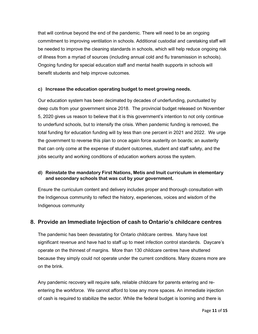that will continue beyond the end of the pandemic. There will need to be an ongoing commitment to improving ventilation in schools. Additional custodial and caretaking staff will be needed to improve the cleaning standards in schools, which will help reduce ongoing risk of illness from a myriad of sources (including annual cold and flu transmission in schools). Ongoing funding for special education staff and mental health supports in schools will benefit students and help improve outcomes.

#### **c) Increase the education operating budget to meet growing needs.**

Our education system has been decimated by decades of underfunding, punctuated by deep cuts from your government since 2018. The provincial budget released on November 5, 2020 gives us reason to believe that it is this government's intention to not only continue to underfund schools, but to intensify the crisis. When pandemic funding is removed, the total funding for education funding will by less than one percent in 2021 and 2022. We urge the government to reverse this plan to once again force austerity on boards; an austerity that can only come at the expense of student outcomes, student and staff safety, and the jobs security and working conditions of education workers across the system.

#### **d) Reinstate the mandatory First Nations, Metis and Inuit curriculum in elementary and secondary schools that was cut by your government.**

Ensure the curriculum content and delivery includes proper and thorough consultation with the Indigenous community to reflect the history, experiences, voices and wisdom of the Indigenous community

# **8. Provide an Immediate Injection of cash to Ontario's childcare centres**

The pandemic has been devastating for Ontario childcare centres. Many have lost significant revenue and have had to staff up to meet infection control standards. Daycare's operate on the thinnest of margins. More than 130 childcare centres have shuttered because they simply could not operate under the current conditions. Many dozens more are on the brink.

Any pandemic recovery will require safe, reliable childcare for parents entering and reentering the workforce. We cannot afford to lose any more spaces. An immediate injection of cash is required to stabilize the sector. While the federal budget is looming and there is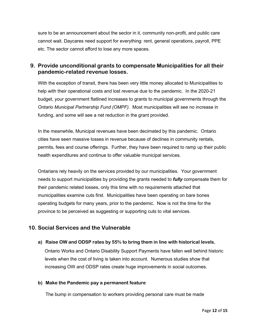sure to be an announcement about the sector in it, community non-profit, and public care cannot wait. Daycares need support for everything: rent, general operations, payroll, PPE etc. The sector cannot afford to lose any more spaces.

# **9. Provide unconditional grants to compensate Municipalities for all their pandemic-related revenue losses.**

With the exception of transit, there has been very little money allocated to Municipalities to help with their operational costs and lost revenue due to the pandemic. In the 2020-21 budget, your government flatlined increases to grants to municipal governments through the *Ontario Municipal Partnership Fund (OMPF).* Most municipalities will see no increase in funding, and some will see a net reduction in the grant provided.

In the meanwhile, Municipal revenues have been decimated by this pandemic. Ontario cities have seen massive losses in revenue because of declines in community rentals, permits, fees and course offerings. Further, they have been required to ramp up their public health expenditures and continue to offer valuable municipal services.

Ontarians rely heavily on the services provided by our municipalities. Your government needs to support municipalities by providing the grants needed to *fully* compensate them for their pandemic related losses, only this time with no requirements attached that municipalities examine cuts first. Municipalities have been operating on bare bones operating budgets for many years, prior to the pandemic. Now is not the time for the province to be perceived as suggesting or supporting cuts to vital services.

# **10. Social Services and the Vulnerable**

**a) Raise OW and ODSP rates by 55% to bring them in line with historical levels.** 

Ontario Works and Ontario Disability Support Payments have fallen well behind historic levels when the cost of living is taken into account. Numerous studies show that increasing OW and ODSP rates create huge improvements in social outcomes.

## **b) Make the Pandemic pay a permanent feature**

The bump in compensation to workers providing personal care must be made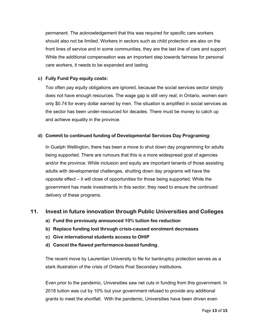permanent. The acknowledgement that this was required for specific care workers should also not be limited. Workers in sectors such as child protection are also on the front lines of service and in some communities, they are the last line of care and support. While the additional compensation was an important step towards fairness for personal care workers, it needs to be expanded and lasting.

#### **c) Fully Fund Pay equity costs:**

Too often pay equity obligations are ignored, because the social services sector simply does not have enough resources. The wage gap is still very real; in Ontario, women earn only \$0.74 for every dollar earned by men. The situation is amplified in social services as the sector has been under-resourced for decades. There must be money to catch up and achieve equality in the province.

#### **d) Commit to continued funding of Developmental Services Day Programing:**

In Guelph Wellington, there has been a move to shut down day programming for adults being supported. There are rumours that this is a more widespread goal of agencies and/or the province. While inclusion and equity are important tenants of those assisting adults with developmental challenges, shutting down day programs will have the opposite effect – it will close of opportunities for those being supported. While the government has made investments in this sector, they need to ensure the continued delivery of these programs.

# **11. Invest in future innovation through Public Universities and Colleges**

- **a) Fund the previously announced 10% tuition fee reduction**
- **b) Replace funding lost through crisis-caused enrolment decreases**
- **c) Give international students access to OHIP**
- **d) Cancel the flawed performance-based funding.**

The recent move by Laurentian University to file for bankruptcy protection serves as a stark illustration of the crisis of Ontario Post Secondary institutions.

Even prior to the pandemic, Universities saw net cuts in funding from this government. In 2018 tuition was cut by 10% but your government refused to provide any additional grants to meet the shortfall. With the pandemic, Universities have been driven even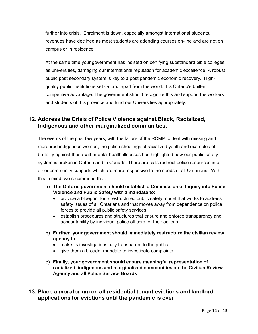further into crisis. Enrolment is down, especially amongst International students, revenues have declined as most students are attending courses on-line and are not on campus or in residence.

At the same time your government has insisted on certifying substandard bible colleges as universities, damaging our international reputation for academic excellence. A robust public post secondary system is key to a post pandemic economic recovery. Highquality public institutions set Ontario apart from the world. It is Ontario's built-in competitive advantage. The government should recognize this and support the workers and students of this province and fund our Universities appropriately.

# **12. Address the Crisis of Police Violence against Black, Racialized, Indigenous and other marginalized communities.**

The events of the past few years, with the failure of the RCMP to deal with missing and murdered indigenous women, the police shootings of racialized youth and examples of brutality against those with mental health illnesses has highlighted how our public safety system is broken in Ontario and in Canada. There are calls redirect police resources into other community supports which are more responsive to the needs of all Ontarians. With this in mind, we recommend that:

- **a) The Ontario government should establish a Commission of Inquiry into Police Violence and Public Safety with a mandate to:**
	- provide a blueprint for a restructured public safety model that works to address safety issues of all Ontarians and that moves away from dependence on police forces to provide all public safety services
	- establish procedures and structures that ensure and enforce transparency and accountability by individual police officers for their actions
- **b) Further, your government should immediately restructure the civilian review agency to**
	- make its investigations fully transparent to the public
	- give them a broader mandate to investigate complaints
- **c) Finally, your government should ensure meaningful representation of racialized, indigenous and marginalized communities on the Civilian Review Agency and all Police Service Boards**
- **13. Place a moratorium on all residential tenant evictions and landlord applications for evictions until the pandemic is over.**